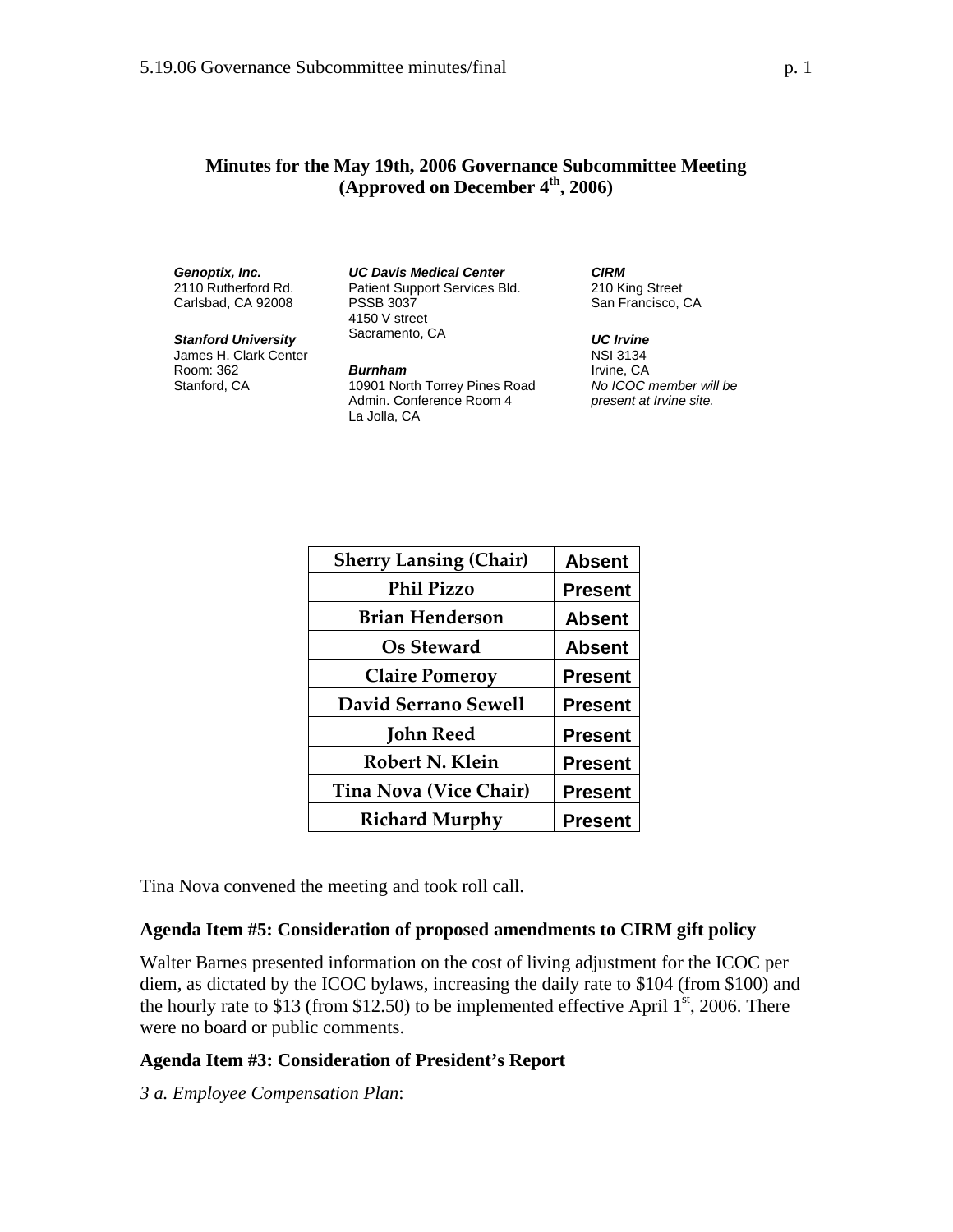## **Minutes for the May 19th, 2006 Governance Subcommittee Meeting (Approved on December 4th, 2006)**

### *Genoptix, Inc.*

2110 Rutherford Rd. Carlsbad, CA 92008

### *Stanford University*

James H. Clark Center Room: 362 Stanford, CA

#### *UC Davis Medical Center*  Patient Support Services Bld. PSSB 3037 4150 V street Sacramento, CA

*Burnham*  10901 North Torrey Pines Road Admin. Conference Room 4 La Jolla, CA

*CIRM*  210 King Street San Francisco, CA

#### *UC Irvine*

NSI 3134 Irvine, CA *No ICOC member will be present at Irvine site.*

| <b>Sherry Lansing (Chair)</b> | <b>Absent</b>  |
|-------------------------------|----------------|
| <b>Phil Pizzo</b>             | <b>Present</b> |
| <b>Brian Henderson</b>        | <b>Absent</b>  |
| <b>Os Steward</b>             | <b>Absent</b>  |
| <b>Claire Pomeroy</b>         | <b>Present</b> |
| <b>David Serrano Sewell</b>   | <b>Present</b> |
| John Reed                     | <b>Present</b> |
| Robert N. Klein               | <b>Present</b> |
| <b>Tina Nova (Vice Chair)</b> | <b>Present</b> |
| <b>Richard Murphy</b>         | <b>Present</b> |

Tina Nova convened the meeting and took roll call.

## **Agenda Item #5: Consideration of proposed amendments to CIRM gift policy**

Walter Barnes presented information on the cost of living adjustment for the ICOC per diem, as dictated by the ICOC bylaws, increasing the daily rate to \$104 (from \$100) and the hourly rate to \$13 (from \$12.50) to be implemented effective April  $1<sup>st</sup>$ , 2006. There were no board or public comments.

## **Agenda Item #3: Consideration of President's Report**

*3 a. Employee Compensation Plan*: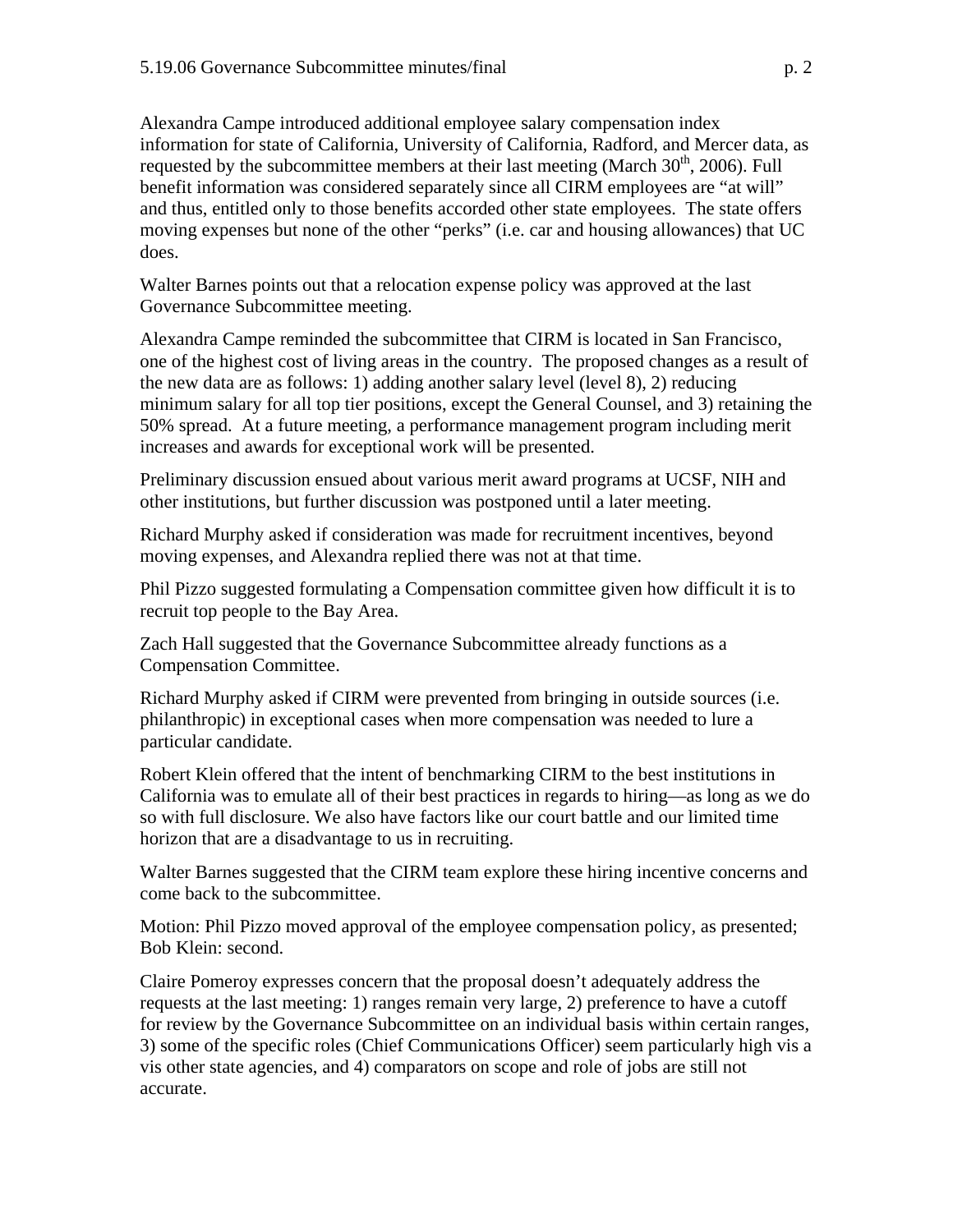Alexandra Campe introduced additional employee salary compensation index information for state of California, University of California, Radford, and Mercer data, as requested by the subcommittee members at their last meeting (March  $30<sup>th</sup>$ , 2006). Full benefit information was considered separately since all CIRM employees are "at will" and thus, entitled only to those benefits accorded other state employees. The state offers moving expenses but none of the other "perks" (i.e. car and housing allowances) that UC does.

Walter Barnes points out that a relocation expense policy was approved at the last Governance Subcommittee meeting.

Alexandra Campe reminded the subcommittee that CIRM is located in San Francisco, one of the highest cost of living areas in the country. The proposed changes as a result of the new data are as follows: 1) adding another salary level (level 8), 2) reducing minimum salary for all top tier positions, except the General Counsel, and 3) retaining the 50% spread. At a future meeting, a performance management program including merit increases and awards for exceptional work will be presented.

Preliminary discussion ensued about various merit award programs at UCSF, NIH and other institutions, but further discussion was postponed until a later meeting.

Richard Murphy asked if consideration was made for recruitment incentives, beyond moving expenses, and Alexandra replied there was not at that time.

Phil Pizzo suggested formulating a Compensation committee given how difficult it is to recruit top people to the Bay Area.

Zach Hall suggested that the Governance Subcommittee already functions as a Compensation Committee.

Richard Murphy asked if CIRM were prevented from bringing in outside sources (i.e. philanthropic) in exceptional cases when more compensation was needed to lure a particular candidate.

Robert Klein offered that the intent of benchmarking CIRM to the best institutions in California was to emulate all of their best practices in regards to hiring—as long as we do so with full disclosure. We also have factors like our court battle and our limited time horizon that are a disadvantage to us in recruiting.

Walter Barnes suggested that the CIRM team explore these hiring incentive concerns and come back to the subcommittee.

Motion: Phil Pizzo moved approval of the employee compensation policy, as presented; Bob Klein: second.

Claire Pomeroy expresses concern that the proposal doesn't adequately address the requests at the last meeting: 1) ranges remain very large, 2) preference to have a cutoff for review by the Governance Subcommittee on an individual basis within certain ranges, 3) some of the specific roles (Chief Communications Officer) seem particularly high vis a vis other state agencies, and 4) comparators on scope and role of jobs are still not accurate.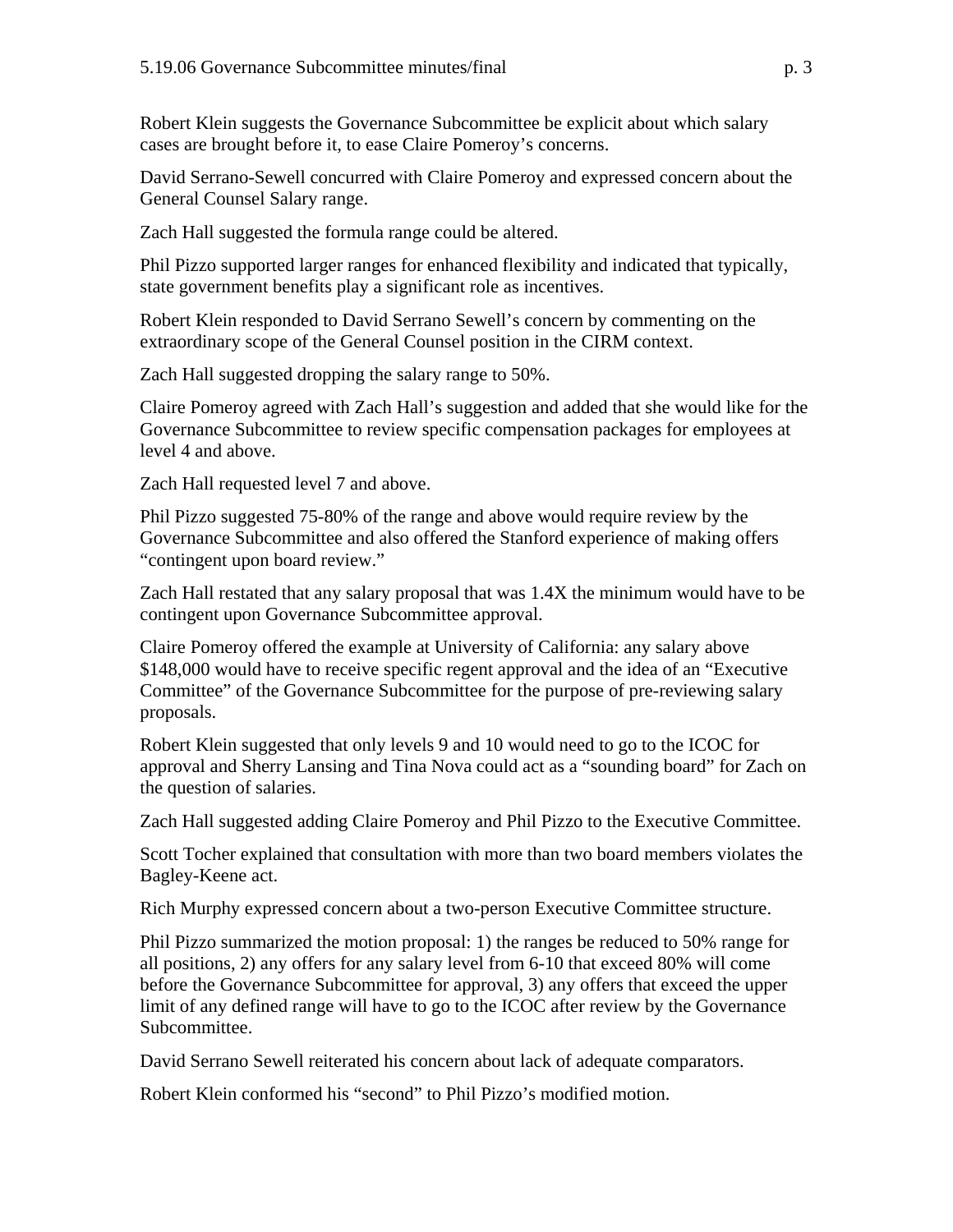Robert Klein suggests the Governance Subcommittee be explicit about which salary cases are brought before it, to ease Claire Pomeroy's concerns.

David Serrano-Sewell concurred with Claire Pomeroy and expressed concern about the General Counsel Salary range.

Zach Hall suggested the formula range could be altered.

Phil Pizzo supported larger ranges for enhanced flexibility and indicated that typically, state government benefits play a significant role as incentives.

Robert Klein responded to David Serrano Sewell's concern by commenting on the extraordinary scope of the General Counsel position in the CIRM context.

Zach Hall suggested dropping the salary range to 50%.

Claire Pomeroy agreed with Zach Hall's suggestion and added that she would like for the Governance Subcommittee to review specific compensation packages for employees at level 4 and above.

Zach Hall requested level 7 and above.

Phil Pizzo suggested 75-80% of the range and above would require review by the Governance Subcommittee and also offered the Stanford experience of making offers "contingent upon board review."

Zach Hall restated that any salary proposal that was 1.4X the minimum would have to be contingent upon Governance Subcommittee approval.

Claire Pomeroy offered the example at University of California: any salary above \$148,000 would have to receive specific regent approval and the idea of an "Executive Committee" of the Governance Subcommittee for the purpose of pre-reviewing salary proposals.

Robert Klein suggested that only levels 9 and 10 would need to go to the ICOC for approval and Sherry Lansing and Tina Nova could act as a "sounding board" for Zach on the question of salaries.

Zach Hall suggested adding Claire Pomeroy and Phil Pizzo to the Executive Committee.

Scott Tocher explained that consultation with more than two board members violates the Bagley-Keene act.

Rich Murphy expressed concern about a two-person Executive Committee structure.

Phil Pizzo summarized the motion proposal: 1) the ranges be reduced to 50% range for all positions, 2) any offers for any salary level from 6-10 that exceed 80% will come before the Governance Subcommittee for approval, 3) any offers that exceed the upper limit of any defined range will have to go to the ICOC after review by the Governance Subcommittee.

David Serrano Sewell reiterated his concern about lack of adequate comparators.

Robert Klein conformed his "second" to Phil Pizzo's modified motion.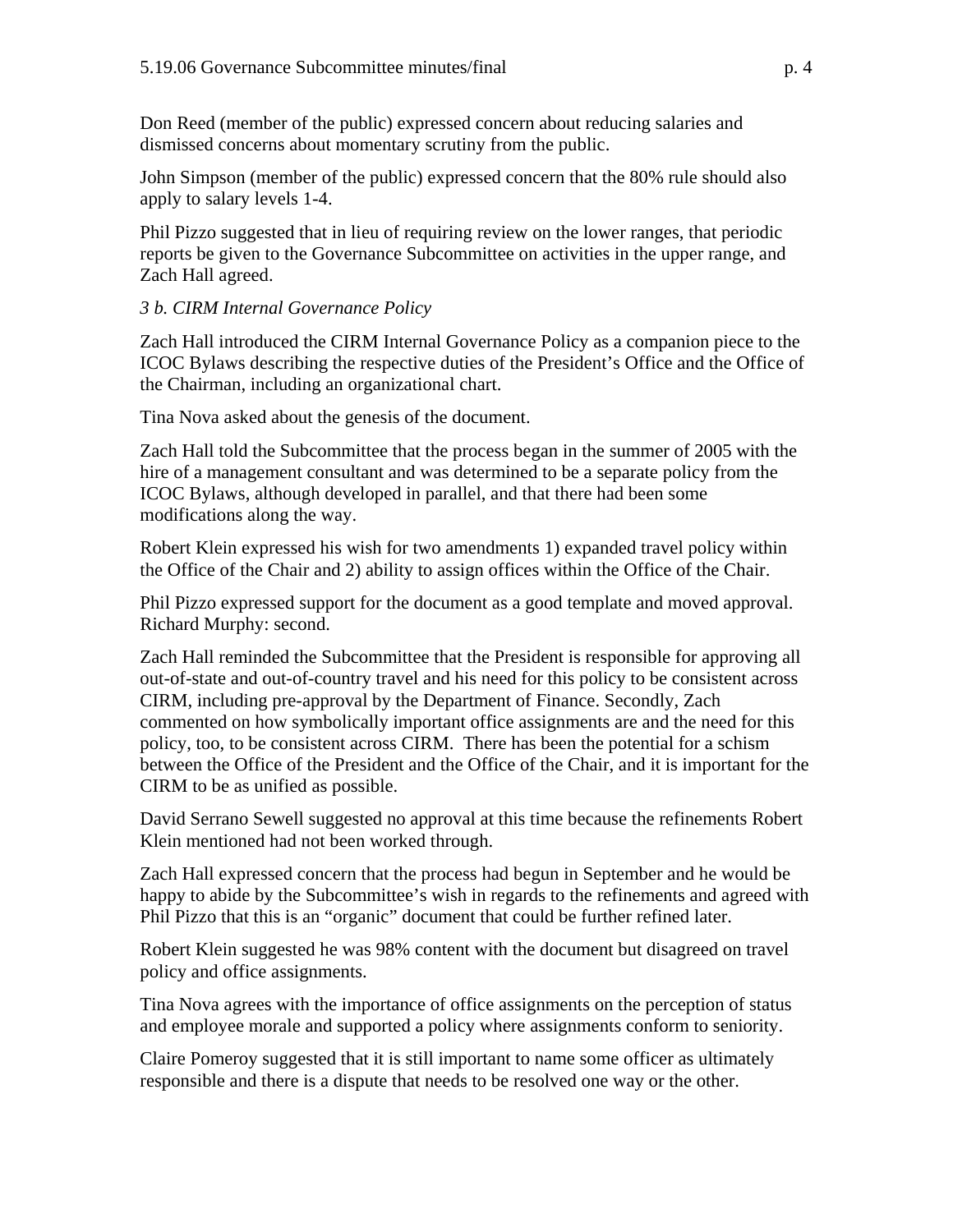Don Reed (member of the public) expressed concern about reducing salaries and dismissed concerns about momentary scrutiny from the public.

John Simpson (member of the public) expressed concern that the 80% rule should also apply to salary levels 1-4.

Phil Pizzo suggested that in lieu of requiring review on the lower ranges, that periodic reports be given to the Governance Subcommittee on activities in the upper range, and Zach Hall agreed.

# *3 b. CIRM Internal Governance Policy*

Zach Hall introduced the CIRM Internal Governance Policy as a companion piece to the ICOC Bylaws describing the respective duties of the President's Office and the Office of the Chairman, including an organizational chart.

Tina Nova asked about the genesis of the document.

Zach Hall told the Subcommittee that the process began in the summer of 2005 with the hire of a management consultant and was determined to be a separate policy from the ICOC Bylaws, although developed in parallel, and that there had been some modifications along the way.

Robert Klein expressed his wish for two amendments 1) expanded travel policy within the Office of the Chair and 2) ability to assign offices within the Office of the Chair.

Phil Pizzo expressed support for the document as a good template and moved approval. Richard Murphy: second.

Zach Hall reminded the Subcommittee that the President is responsible for approving all out-of-state and out-of-country travel and his need for this policy to be consistent across CIRM, including pre-approval by the Department of Finance. Secondly, Zach commented on how symbolically important office assignments are and the need for this policy, too, to be consistent across CIRM. There has been the potential for a schism between the Office of the President and the Office of the Chair, and it is important for the CIRM to be as unified as possible.

David Serrano Sewell suggested no approval at this time because the refinements Robert Klein mentioned had not been worked through.

Zach Hall expressed concern that the process had begun in September and he would be happy to abide by the Subcommittee's wish in regards to the refinements and agreed with Phil Pizzo that this is an "organic" document that could be further refined later.

Robert Klein suggested he was 98% content with the document but disagreed on travel policy and office assignments.

Tina Nova agrees with the importance of office assignments on the perception of status and employee morale and supported a policy where assignments conform to seniority.

Claire Pomeroy suggested that it is still important to name some officer as ultimately responsible and there is a dispute that needs to be resolved one way or the other.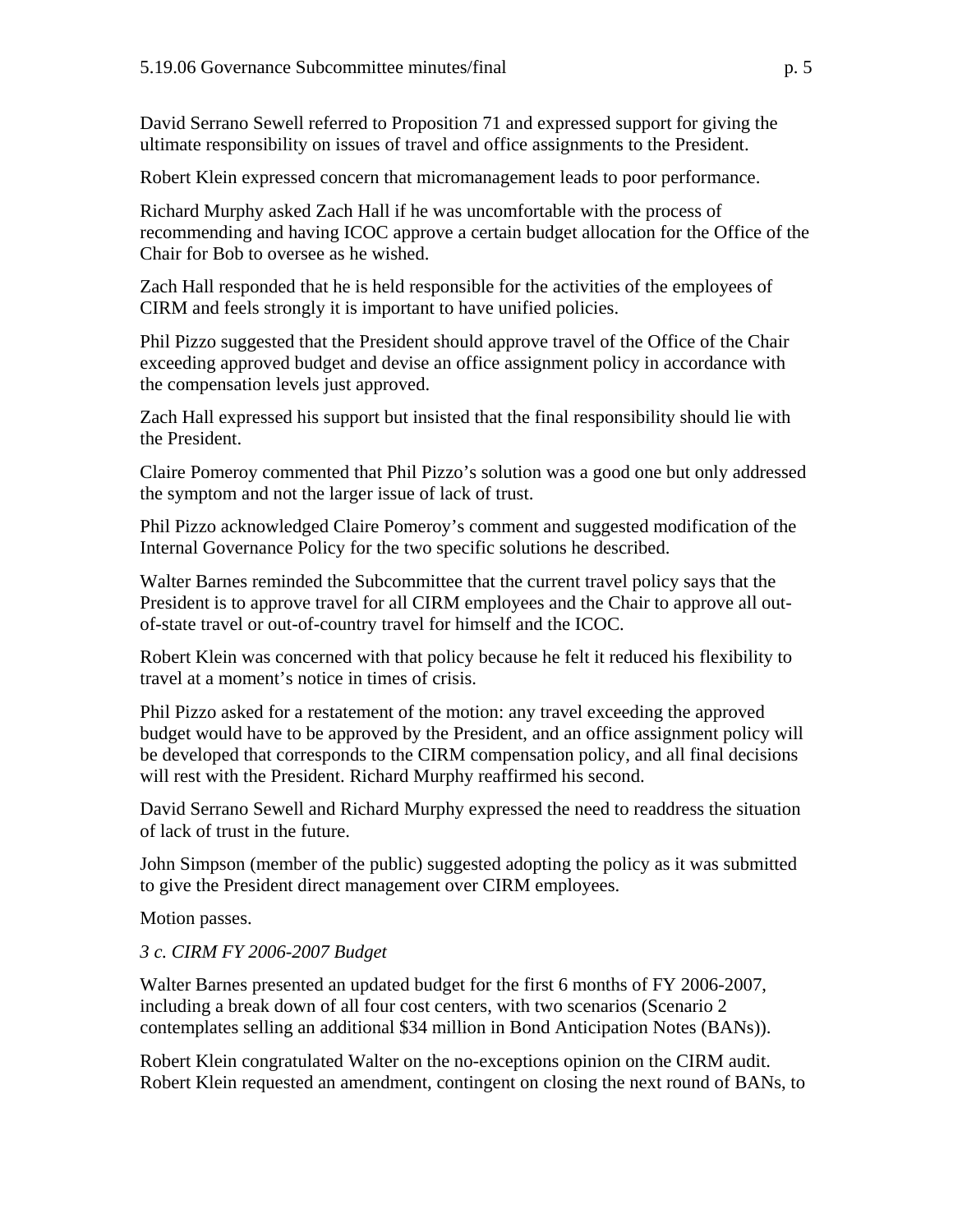David Serrano Sewell referred to Proposition 71 and expressed support for giving the ultimate responsibility on issues of travel and office assignments to the President.

Robert Klein expressed concern that micromanagement leads to poor performance.

Richard Murphy asked Zach Hall if he was uncomfortable with the process of recommending and having ICOC approve a certain budget allocation for the Office of the Chair for Bob to oversee as he wished.

Zach Hall responded that he is held responsible for the activities of the employees of CIRM and feels strongly it is important to have unified policies.

Phil Pizzo suggested that the President should approve travel of the Office of the Chair exceeding approved budget and devise an office assignment policy in accordance with the compensation levels just approved.

Zach Hall expressed his support but insisted that the final responsibility should lie with the President.

Claire Pomeroy commented that Phil Pizzo's solution was a good one but only addressed the symptom and not the larger issue of lack of trust.

Phil Pizzo acknowledged Claire Pomeroy's comment and suggested modification of the Internal Governance Policy for the two specific solutions he described.

Walter Barnes reminded the Subcommittee that the current travel policy says that the President is to approve travel for all CIRM employees and the Chair to approve all outof-state travel or out-of-country travel for himself and the ICOC.

Robert Klein was concerned with that policy because he felt it reduced his flexibility to travel at a moment's notice in times of crisis.

Phil Pizzo asked for a restatement of the motion: any travel exceeding the approved budget would have to be approved by the President, and an office assignment policy will be developed that corresponds to the CIRM compensation policy, and all final decisions will rest with the President. Richard Murphy reaffirmed his second.

David Serrano Sewell and Richard Murphy expressed the need to readdress the situation of lack of trust in the future.

John Simpson (member of the public) suggested adopting the policy as it was submitted to give the President direct management over CIRM employees.

Motion passes.

# *3 c. CIRM FY 2006-2007 Budget*

Walter Barnes presented an updated budget for the first 6 months of FY 2006-2007, including a break down of all four cost centers, with two scenarios (Scenario 2 contemplates selling an additional \$34 million in Bond Anticipation Notes (BANs)).

Robert Klein congratulated Walter on the no-exceptions opinion on the CIRM audit. Robert Klein requested an amendment, contingent on closing the next round of BANs, to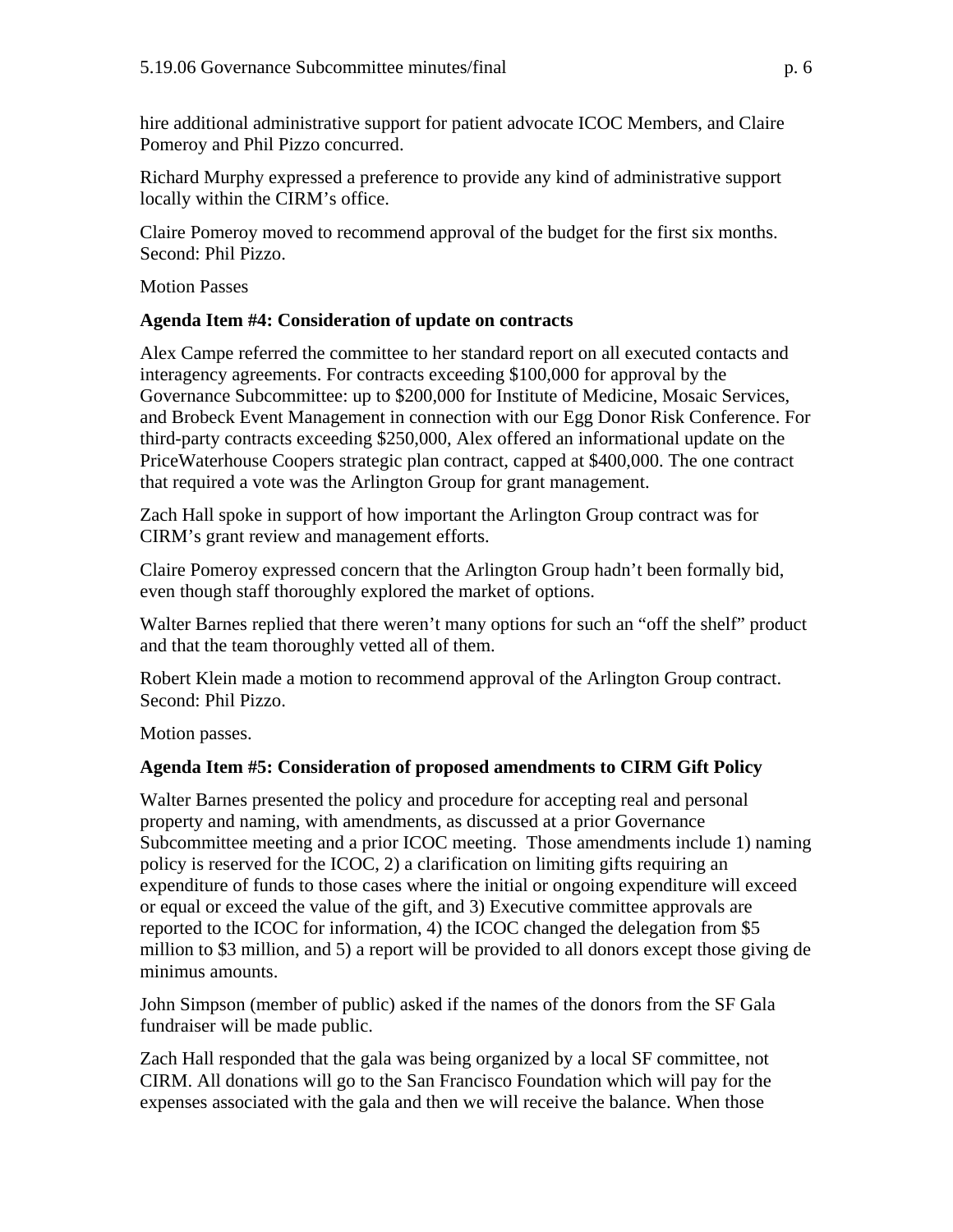hire additional administrative support for patient advocate ICOC Members, and Claire Pomeroy and Phil Pizzo concurred.

Richard Murphy expressed a preference to provide any kind of administrative support locally within the CIRM's office.

Claire Pomeroy moved to recommend approval of the budget for the first six months. Second: Phil Pizzo.

Motion Passes

# **Agenda Item #4: Consideration of [update on contracts](http://www.cirm.ca.gov/meetings/pdf/2006/05/051906_item_4.pdf)**

Alex Campe referred the committee to her standard report on all executed contacts and interagency agreements. For contracts exceeding \$100,000 for approval by the Governance Subcommittee: up to \$200,000 for Institute of Medicine, Mosaic Services, and Brobeck Event Management in connection with our Egg Donor Risk Conference. For third-party contracts exceeding \$250,000, Alex offered an informational update on the PriceWaterhouse Coopers strategic plan contract, capped at \$400,000. The one contract that required a vote was the Arlington Group for grant management.

Zach Hall spoke in support of how important the Arlington Group contract was for CIRM's grant review and management efforts.

Claire Pomeroy expressed concern that the Arlington Group hadn't been formally bid, even though staff thoroughly explored the market of options.

Walter Barnes replied that there weren't many options for such an "off the shelf" product and that the team thoroughly vetted all of them.

Robert Klein made a motion to recommend approval of the Arlington Group contract. Second: Phil Pizzo.

Motion passes.

# **Agenda Item #5: Consideration of [proposed](http://www.cirm.ca.gov/meetings/pdf/2006/05/051906_item_4.pdf) amendments to CIRM Gift Policy**

Walter Barnes presented the policy and procedure for accepting real and personal property and naming, with amendments, as discussed at a prior Governance Subcommittee meeting and a prior ICOC meeting. Those amendments include 1) naming policy is reserved for the ICOC, 2) a clarification on limiting gifts requiring an expenditure of funds to those cases where the initial or ongoing expenditure will exceed or equal or exceed the value of the gift, and 3) Executive committee approvals are reported to the ICOC for information, 4) the ICOC changed the delegation from \$5 million to \$3 million, and 5) a report will be provided to all donors except those giving de minimus amounts.

John Simpson (member of public) asked if the names of the donors from the SF Gala fundraiser will be made public.

Zach Hall responded that the gala was being organized by a local SF committee, not CIRM. All donations will go to the San Francisco Foundation which will pay for the expenses associated with the gala and then we will receive the balance. When those